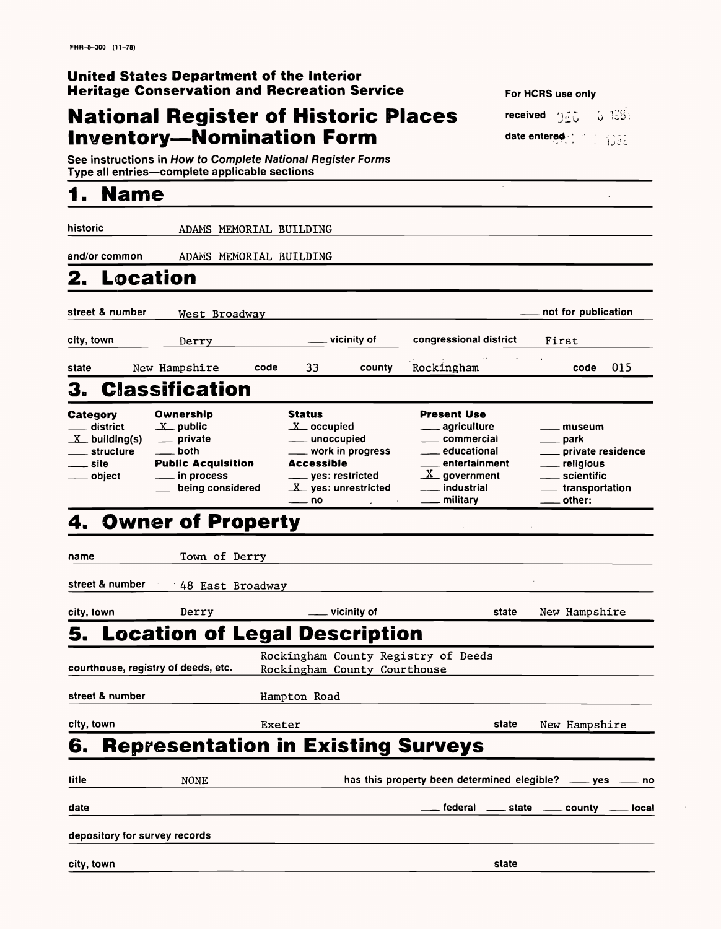## **National Register of Historic Places Inventory-Nomination Form**

### **United States Department of the Interior Heritage Conservation and Recreation Service**

See instructions in How to Complete National Register Forms Type all entries—complete applicable sections

# **1. Name**

| received $2.5$ |  | 5.198 |
|----------------|--|-------|
| date entered   |  |       |

historic ADAMS MEMORIAL BUILDING

and/or common ADAMS MEMORIAL BUILDING

# **2. Location**

name Town of Derry street & number 48 East Broadway city, town Derry vicinity of **state** New Hampshire **5. Location of Legal Description**

| saurthause registry of deeds ote |  |  |
|----------------------------------|--|--|

| street & number | West Broadway     |      |      |             |                        | ___ not for publication |     |
|-----------------|-------------------|------|------|-------------|------------------------|-------------------------|-----|
| city, town      | Derry             |      |      | vicinity of | congressional district | First                   |     |
| state           | New Hampshire     | code | 33   | county      | Rockingham             | code                    | 015 |
|                 | 3. Classification |      |      |             |                        |                         |     |
| $R$ aiagan,     | <b>Ownorehin</b>  |      | $R+$ |             | Dracont Hea            |                         |     |

| <b>Category</b> | Ownership                 | <b>Status</b>         | <b>Present Use</b>         |                   |
|-----------------|---------------------------|-----------------------|----------------------------|-------------------|
| district        | $X$ public                | $X$ occupied          | ____ agriculture           | museum            |
| $X$ building(s) | private                   | ____ unoccupied       | ____ commercial            | . park            |
| ___ structure   | both                      | ___ work in progress  | educational                | private residence |
| ___ site        | <b>Public Acquisition</b> | <b>Accessible</b>     | __ entertainment           | __ religious      |
| object          | ____ in process           | ___ yes: restricted   | $\underline{X}$ government | scientific_       |
|                 | being considered          | $X$ yes: unrestricted | industrial                 | transportation    |
|                 |                           | — no                  | military                   | $=$ other:        |

# 4. Owner of Property

Rockingham County Registry of Deeds

|            | street & number               | Hampton Road                              |                                                          |       |                                        |
|------------|-------------------------------|-------------------------------------------|----------------------------------------------------------|-------|----------------------------------------|
| city, town |                               | Exeter                                    |                                                          | state | New Hampshire                          |
| 6.         |                               | <b>Representation in Existing Surveys</b> |                                                          |       |                                        |
| title      | <b>NONE</b>                   |                                           | has this property been determined elegible? __ yes __ no |       |                                        |
| date       |                               |                                           |                                                          |       | __ federal __ state __ county __ local |
|            | depository for survey records |                                           |                                                          |       |                                        |
| city, town |                               |                                           |                                                          | state |                                        |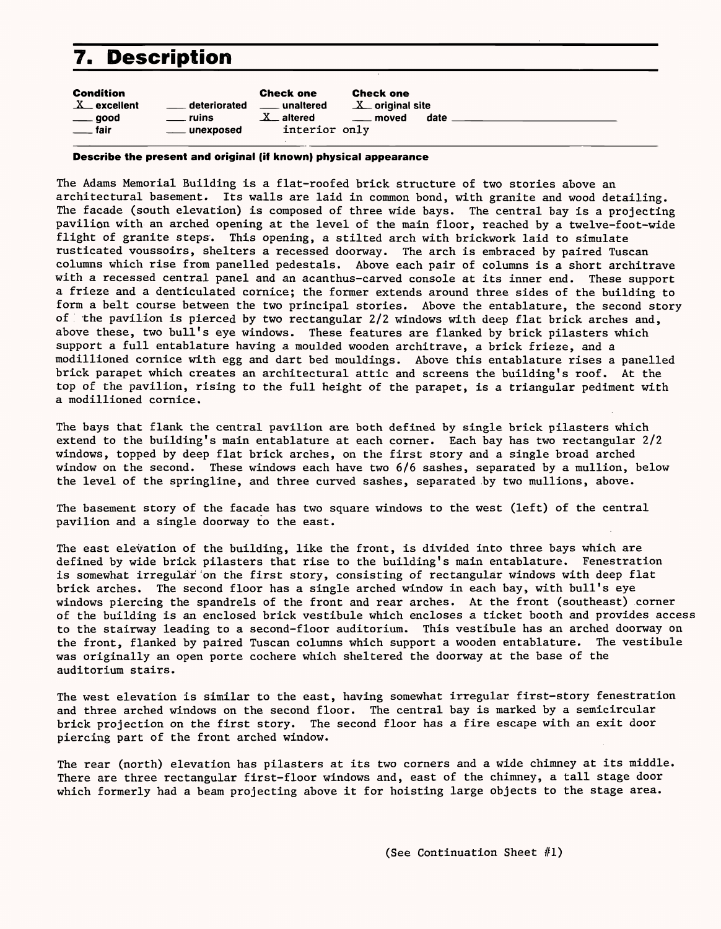# **7. Description**

| <b>Condition</b><br><b>Check one</b><br><b>Check one</b><br>$X$ excellent<br>$X$ original site<br>deteriorated<br>unaltered<br>$\sim$<br>$X_{-}$ altered<br>date<br>ruins<br><u>_</u> __ moved<br>good<br>interior only<br><sub>____</sub> fair<br>unexposed |  |
|--------------------------------------------------------------------------------------------------------------------------------------------------------------------------------------------------------------------------------------------------------------|--|
|--------------------------------------------------------------------------------------------------------------------------------------------------------------------------------------------------------------------------------------------------------------|--|

#### **Describe the present and original (if known) physical appearance**

The Adams Memorial Building is a flat-roofed brick structure of two stories above an architectural basement. Its walls are laid in common bond, with granite and wood detailing. The facade (south elevation) is composed of three wide bays. The central bay is a projecting pavilion with an arched opening at the level of the main floor, reached by a twelve-foot-wide flight of granite steps. This opening, a stilted arch with brickwork laid to simulate rusticated voussoirs, shelters a recessed doorway. The arch is embraced by paired Tuscan columns which rise from panelled pedestals. Above each pair of columns is a short architrave with a recessed central panel and an acanthus-carved console at its inner end. These support a frieze and a denticulated cornice; the former extends around three sides of the building to form a belt course between the two principal stories. Above the entablature, the second story of the pavilion is pierced by two rectangular 2/2 windows with deep flat brick arches and, above these, two bull's eye windows. These features are flanked by brick pilasters which support a full entablature having a moulded wooden architrave, a brick frieze, and a modillioned cornice with egg and dart bed mouldings. Above this entablature rises a panelled brick parapet which creates an architectural attic and screens the building's roof. At the top of the pavilion, rising to the full height of the parapet, is a triangular pediment with a modillioned cornice.

The bays that flank the central pavilion are both defined by single brick pilasters which extend to the building's main entablature at each corner. Each bay has two rectangular 2/2 windows, topped by deep flat brick arches, on the first story and a single broad arched window on the second. These windows each have two 6/6 sashes, separated by a mullion, below the level of the springline, and three curved sashes, separated .by two mullions, above.

The basement story of the facade has two square windows to the west (left) of the central pavilion and a single doorway to the east.

The east elevation of the building, like the front, is divided into three bays which are defined by wide brick pilasters that rise to the building's main entablature. Fenestration is somewhat irregular on the first story, consisting of rectangular windows with deep flat brick arches. The second floor has a single arched window in each bay, with bull's eye windows piercing the spandrels of the front and rear arches. At the front (southeast) corner of the building is an enclosed brick vestibule which encloses a ticket booth and provides access to the stairway leading to a second-floor auditorium. This vestibule has an arched doorway on the front, flanked by paired Tuscan columns which support a wooden entablature. The vestibule was originally an open porte cochere which sheltered the doorway at the base of the

auditorium stairs.

The west elevation is similar to the east, having somewhat irregular first-story fenestration and three arched windows on the second floor. The central bay is marked by a semicircular brick projection on the first story. The second floor has a fire escape with an exit door piercing part of the front arched window.

The rear (north) elevation has pilasters at its two corners and a wide chimney at its middle. There are three rectangular first-floor windows and, east of the chimney, a tall stage door which formerly had a beam projecting above it for hoisting large objects to the stage area.

(See Continuation Sheet  $#1$ )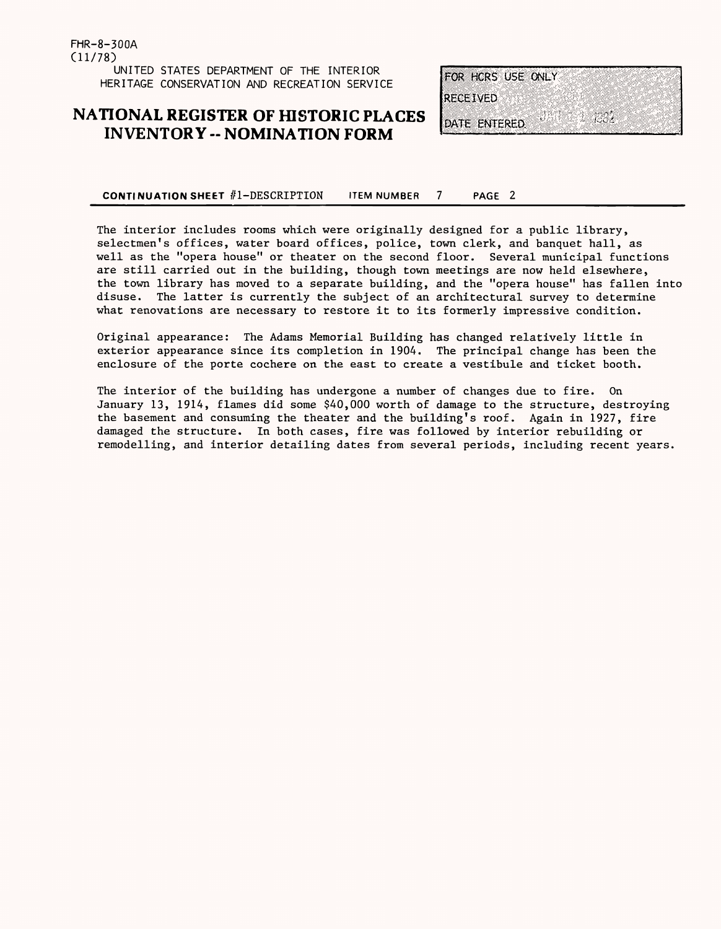FHR-8-300A (11/78) UNITED STATES DEPARTMENT OF THE INTERIOR HERITAGE CONSERVATION AND RECREATION SERVICE

### **NATIONAL REGISTER OF HISTORIC PLACES INVENTORY - NOMINATION FORM**



#### **CONTI NUATION SHEET //l-DESCRIPTION ITEM NUMBER 7 PAGE 2**

The interior includes rooms which were originally designed for a public library, selectmen's offices, water board offices, police, town clerk, and banquet hall, as well as the "opera house" or theater on the second floor. Several municipal functions are still carried out in the building, though town meetings are now held elsewhere, the town library has moved to a separate building, and the "opera house" has fallen into disuse. The latter is currently the subject of an architectural survey to determine what renovations are necessary to restore it to its formerly impressive condition.

Original appearance: The Adams Memorial Building has changed relatively little in exterior appearance since its completion in 1904. The principal change has been the enclosure of the porte cochere on the east to create a vestibule and ticket booth.

The interior of the building has undergone a number of changes due to fire. On January 13, 1914, flames did some \$40,000 worth of damage to the structure, destroying the basement and consuming the theater and the building's roof. Again in 1927, fire damaged the structure. In both cases, fire was followed by interior rebuilding or remodelling, and interior detailing dates from several periods, including recent years.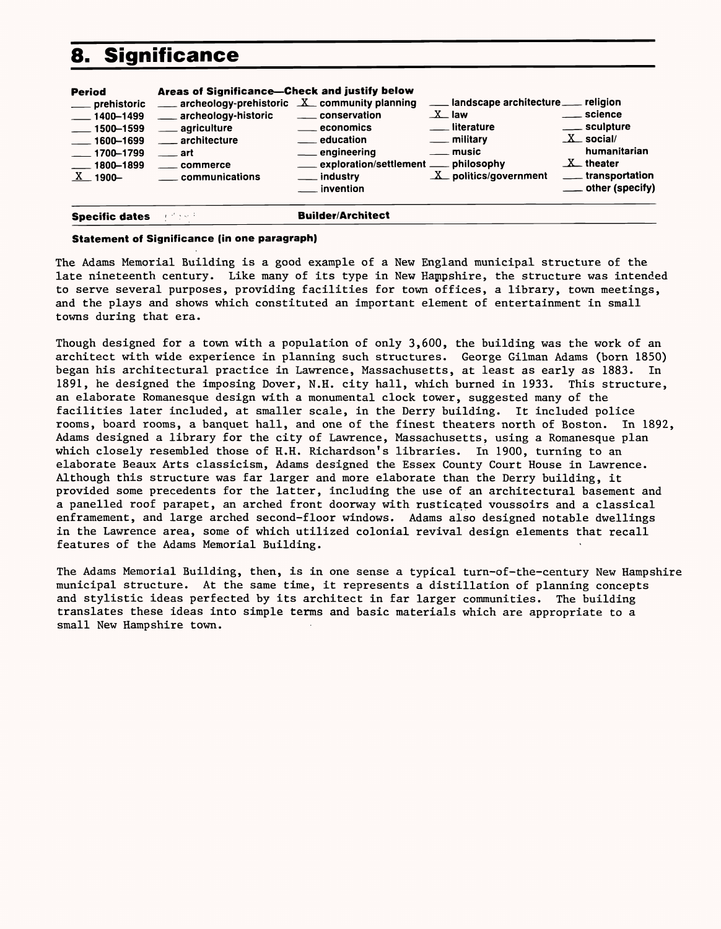# **8. Significance**

| $\frac{1}{2}$ 1500–1599<br>$\frac{1600 - 1699}{ }$<br>$\sim$ 1700-1799<br>$-1800 - 1899$<br>$\rm X$ $\_$ 1900 $-$ | ___ agriculture<br>___ architecture<br>$\equiv$ art<br>commerce<br><u>__</u> __ communications | $\equiv$ economics<br><u>_</u> __ education<br><u>_</u> __ engineering<br>exploration/settlement ____ philosophy<br>___ industry<br>__ invention | literature<br>___ military<br><u>_</u> __ music<br>$\underline{X}$ politics/government | __ sculpture<br>$X$ social/<br>humanitarian<br>$X$ theater<br><u>_</u> __transportation<br>___ other (specify) |
|-------------------------------------------------------------------------------------------------------------------|------------------------------------------------------------------------------------------------|--------------------------------------------------------------------------------------------------------------------------------------------------|----------------------------------------------------------------------------------------|----------------------------------------------------------------------------------------------------------------|
| $\frac{1400 - 1499}{ }$                                                                                           | archeology-historic                                                                            | ____ conservation                                                                                                                                | $X$ law                                                                                | ___ science                                                                                                    |
| <b>Period</b><br>___ prehistoric                                                                                  | Areas of Significance-Check and justify below                                                  | archeology-prehistoric X community planning                                                                                                      | ___ landscape architecture __ religion                                                 |                                                                                                                |

#### **Statement of Significance (in one paragraph)**

The Adams Memorial Building is a good example of a New England municipal structure of the late nineteenth century. Like many of its type in New Hampshire, the structure was intended to serve several purposes, providing facilities for town offices, a library, town meetings, and the plays and shows which constituted an important element of entertainment in small towns during that era.

Though designed for a town with a population of only 3,600, the building was the work of an architect with wide experience in planning such structures. George Gilman Adams (born 1850) began his architectural practice in Lawrence, Massachusetts, at least as early as 1883. In 1891, he designed the imposing Dover, N.H. city hall, which burned in 1933. This structure, an elaborate Romanesque design with a monumental clock tower, suggested many of the facilities later included, at smaller scale, in the Derry building. It included police rooms, board rooms, a banquet hall, and one of the finest theaters north of Boston. In 1892, Adams designed a library for the city of Lawrence, Massachusetts, using a Romanesque plan which closely resembled those of H.H. Richardson's libraries. In 1900, turning to an elaborate Beaux Arts classicism, Adams designed the Essex County Court House in Lawrence. Although this structure was far larger and more elaborate than the Derry building, it provided some precedents for the latter, including the use of an architectural basement and a panelled roof parapet, an arched front doorway with rusticated voussoirs and a classical enframement, and large arched second-floor windows. Adams also designed notable dwellings in the Lawrence area, some of which utilized colonial revival design elements that recall features of the Adams Memorial Building.

The Adams Memorial Building, then, is in one sense a typical turn-of-the-century New Hampshire municipal structure. At the same time, it represents a distillation of planning concepts and stylistic ideas perfected by its architect in far larger communities. The building translates these ideas into simple terms and basic materials which are appropriate to a small New Hampshire town.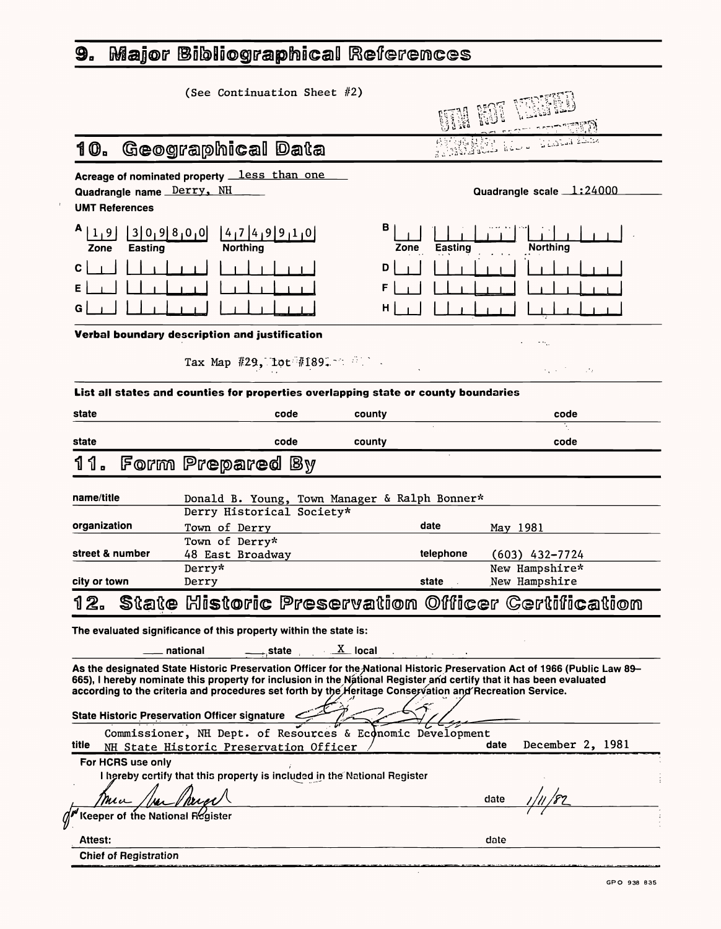# 9. Major Bibliographical References

| (See Continuation Sheet #2)                                                                                |                                                |
|------------------------------------------------------------------------------------------------------------|------------------------------------------------|
| Geographical Data<br>10.                                                                                   | <b>Addis Replace</b>                           |
| Acreage of nominated property less than one<br>Quadrangle name Derry, NH<br><b>UMT References</b>          | Quadrangle scale 1:24000                       |
| $A_{11}$<br>3 0,9 8,0,0 <br>(4,7 4,9 9,1,0)<br>$\overline{1}$<br><b>Northing</b><br><b>Easting</b><br>Zone | B<br><b>Easting</b><br><b>Northing</b><br>Zone |
| $\mathbf{C}$                                                                                               | D                                              |
| E.                                                                                                         | F                                              |
| G.                                                                                                         | H                                              |
| Verbal boundary description and justification                                                              | $\sim 100$                                     |

Tax Map  $#29$ , lot  $#189$ .

 $\label{eq:2.1} \frac{1}{2} \int_{\mathbb{R}^3} \frac{1}{\sqrt{2\pi}} \int_{\mathbb{R}^3} \frac{1}{\sqrt{2\pi}} \int_{\mathbb{R}^3} \frac{1}{\sqrt{2\pi}} \int_{\mathbb{R}^3} \frac{1}{\sqrt{2\pi}} \int_{\mathbb{R}^3} \frac{1}{\sqrt{2\pi}} \int_{\mathbb{R}^3} \frac{1}{\sqrt{2\pi}} \int_{\mathbb{R}^3} \frac{1}{\sqrt{2\pi}} \int_{\mathbb{R}^3} \frac{1}{\sqrt{2\pi}} \int_{\mathbb{R}^3}$ 

| Derry Historical Society* |           |                                                                                                    |
|---------------------------|-----------|----------------------------------------------------------------------------------------------------|
| Town of Derry             | date      | May 1981                                                                                           |
| Town of Derry*            |           |                                                                                                    |
| 48 East Broadway          | telephone | (603) 432–7724                                                                                     |
| Derry*                    |           | New Hampshire*                                                                                     |
| Derry                     | state     | New Hampshire                                                                                      |
|                           |           |                                                                                                    |
|                           |           | Donald B. Young, Town Manager & Ralph Bonner*<br>State Historic Preservation Officer Certification |

**List all states and counties for properties overlapping state or county boundaries**

| state | code             | county | code |
|-------|------------------|--------|------|
| state | code             | county | code |
| 11.   | Form Prepared By |        |      |

| Commissioner, NH Dept. of Resources & Economic Development               |      |                  |
|--------------------------------------------------------------------------|------|------------------|
| title<br>NH State Historic Preservation Officer                          | date | December 2, 1981 |
| For HCRS use only                                                        |      |                  |
| I hereby certify that this property is included in the National Register |      |                  |
| Mu                                                                       | date |                  |
| Keeper of the National Register                                          |      |                  |
| <b>Attest:</b>                                                           | date |                  |

 $\mathcal{F}^{\prime}$ 

The evaluated significance of this property within the state is:

\_\_\_ national  $\overline{\phantom{a}}$  state  $\overline{\phantom{a}}$  local

| As the designated State Historic Preservation Officer for the National Historic Preservation Act of 1966 (Public Law 89– |
|--------------------------------------------------------------------------------------------------------------------------|
| 665), I hereby nominate this property for inclusion in the National Register and certify that it has been evaluated      |
| according to the criteria and procedures set forth by the Heritage Conservation and Recreation Service.                  |

GPO 938 835